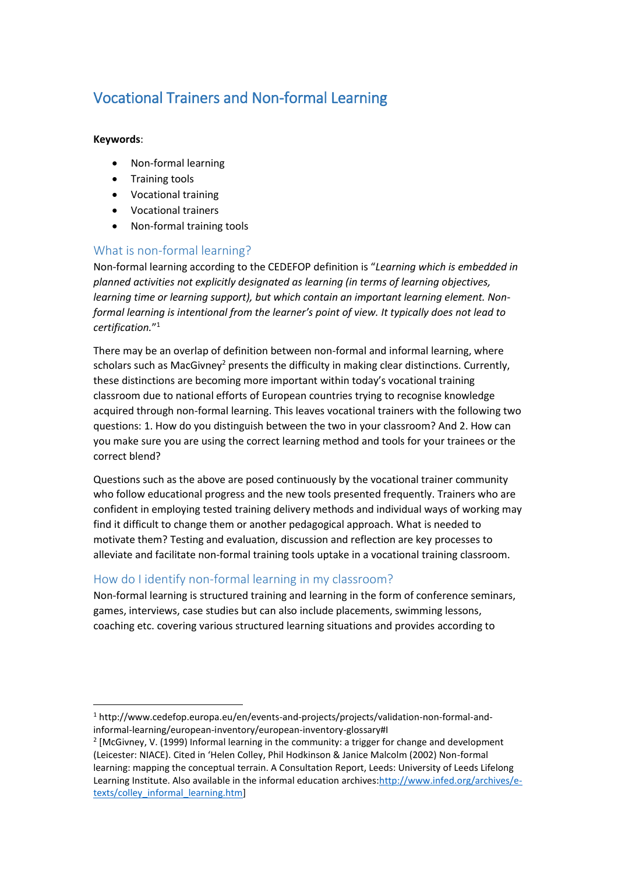# Vocational Trainers and Non-formal Learning

#### **Keywords**:

 $\overline{a}$ 

- Non-formal learning
- **•** Training tools
- Vocational training
- Vocational trainers
- Non-formal training tools

## What is non-formal learning?

Non-formal learning according to the CEDEFOP definition is "*Learning which is embedded in planned activities not explicitly designated as learning (in terms of learning objectives, learning time or learning support), but which contain an important learning element. Nonformal learning is intentional from the learner's point of view. It typically does not lead to certification.*" 1

There may be an overlap of definition between non-formal and informal learning, where scholars such as MacGivney<sup>2</sup> presents the difficulty in making clear distinctions. Currently, these distinctions are becoming more important within today's vocational training classroom due to national efforts of European countries trying to recognise knowledge acquired through non-formal learning. This leaves vocational trainers with the following two questions: 1. How do you distinguish between the two in your classroom? And 2. How can you make sure you are using the correct learning method and tools for your trainees or the correct blend?

Questions such as the above are posed continuously by the vocational trainer community who follow educational progress and the new tools presented frequently. Trainers who are confident in employing tested training delivery methods and individual ways of working may find it difficult to change them or another pedagogical approach. What is needed to motivate them? Testing and evaluation, discussion and reflection are key processes to alleviate and facilitate non-formal training tools uptake in a vocational training classroom.

## How do I identify non-formal learning in my classroom?

Non-formal learning is structured training and learning in the form of conference seminars, games, interviews, case studies but can also include placements, swimming lessons, coaching etc. covering various structured learning situations and provides according to

<sup>1</sup> http://www.cedefop.europa.eu/en/events-and-projects/projects/validation-non-formal-andinformal-learning/european-inventory/european-inventory-glossary#I

 $2$  [McGivney, V. (1999) Informal learning in the community: a trigger for change and development (Leicester: NIACE). Cited in 'Helen Colley, Phil Hodkinson & Janice Malcolm (2002) Non-formal learning: mapping the conceptual terrain. A Consultation Report, Leeds: University of Leeds Lifelong Learning Institute. Also available in the informal education archives[:http://www.infed.org/archives/e](http://www.infed.org/archives/e-texts/colley_informal_learning.htm)[texts/colley\\_informal\\_learning.htm\]](http://www.infed.org/archives/e-texts/colley_informal_learning.htm)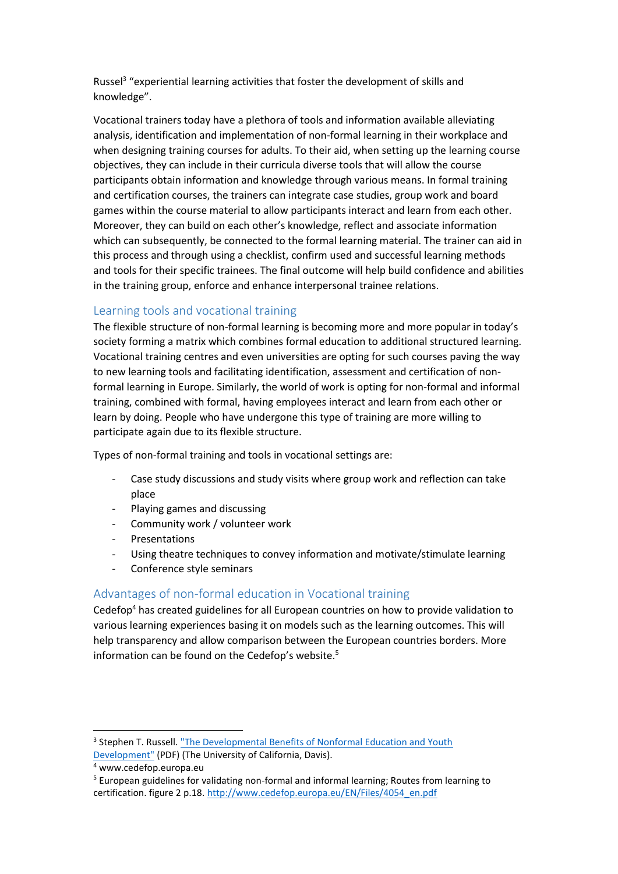Russel<sup>3</sup> "experiential learning activities that foster the development of skills and knowledge".

Vocational trainers today have a plethora of tools and information available alleviating analysis, identification and implementation of non-formal learning in their workplace and when designing training courses for adults. To their aid, when setting up the learning course objectives, they can include in their curricula diverse tools that will allow the course participants obtain information and knowledge through various means. In formal training and certification courses, the trainers can integrate case studies, group work and board games within the course material to allow participants interact and learn from each other. Moreover, they can build on each other's knowledge, reflect and associate information which can subsequently, be connected to the formal learning material. The trainer can aid in this process and through using a checklist, confirm used and successful learning methods and tools for their specific trainees. The final outcome will help build confidence and abilities in the training group, enforce and enhance interpersonal trainee relations.

### Learning tools and vocational training

The flexible structure of non-formal learning is becoming more and more popular in today's society forming a matrix which combines formal education to additional structured learning. Vocational training centres and even universities are opting for such courses paving the way to new learning tools and facilitating identification, assessment and certification of nonformal learning in Europe. Similarly, the world of work is opting for non-formal and informal training, combined with formal, having employees interact and learn from each other or learn by doing. People who have undergone this type of training are more willing to participate again due to its flexible structure.

Types of non-formal training and tools in vocational settings are:

- Case study discussions and study visits where group work and reflection can take place
- Playing games and discussing
- Community work / volunteer work
- **Presentations**
- Using theatre techniques to convey information and motivate/stimulate learning
- Conference style seminars

#### Advantages of non-formal education in Vocational training

Cedefop<sup>4</sup> has created guidelines for all European countries on how to provide validation to various learning experiences basing it on models such as the learning outcomes. This will help transparency and allow comparison between the European countries borders. More information can be found on the Cedefop's website.<sup>5</sup>

 $\overline{a}$ 

<sup>&</sup>lt;sup>3</sup> Stephen T. Russell. "The Developmental Benefits of Nonformal Education and Youth [Development"](http://www.ca4h.org/files/1231.pdf) (PDF) (The University of California, Davis).

<sup>4</sup> www.cedefop.europa.eu

<sup>5</sup> European guidelines for validating non-formal and informal learning; Routes from learning to certification. figure 2 p.18. [http://www.cedefop.europa.eu/EN/Files/4054\\_en.pdf](http://www.cedefop.europa.eu/EN/Files/4054_en.pdf)